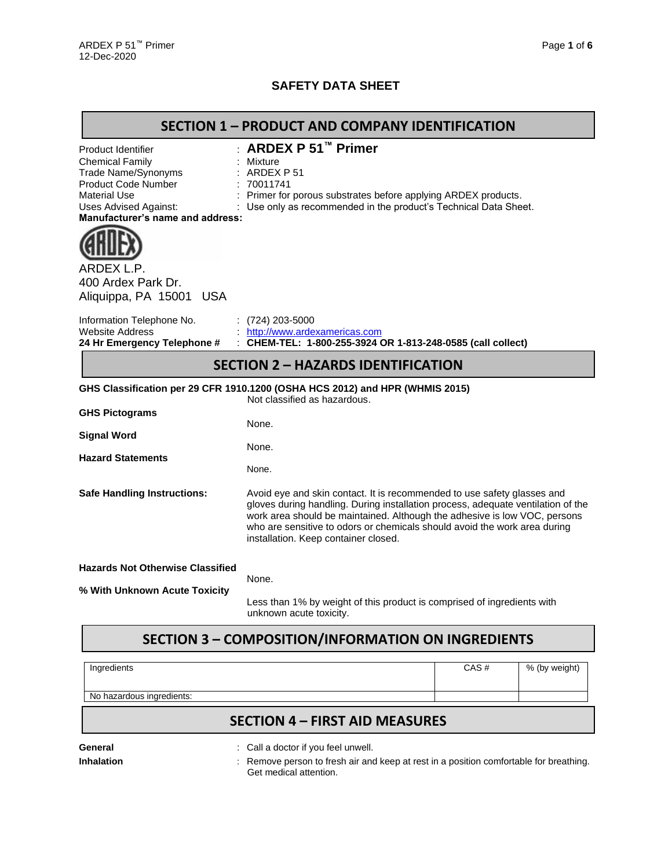### **SAFETY DATA SHEET**

### **SECTION 1 – PRODUCT AND COMPANY IDENTIFICATION**

| <b>Product Identifier</b><br><b>Chemical Family</b><br>Trade Name/Synonyms<br>Product Code Number<br><b>Material Use</b><br><b>Uses Advised Against:</b><br>Manufacturer's name and address: | <b>ARDEX P 51™ Primer</b><br>Mixture<br>ARDEX P 51<br>70011741<br>Primer for porous substrates before applying ARDEX products.<br>Use only as recommended in the product's Technical Data Sheet.                                                                                                                                                              |
|----------------------------------------------------------------------------------------------------------------------------------------------------------------------------------------------|---------------------------------------------------------------------------------------------------------------------------------------------------------------------------------------------------------------------------------------------------------------------------------------------------------------------------------------------------------------|
| ARDEX L.P.<br>400 Ardex Park Dr.<br>Aliquippa, PA 15001 USA                                                                                                                                  |                                                                                                                                                                                                                                                                                                                                                               |
| Information Telephone No.<br><b>Website Address</b><br>24 Hr Emergency Telephone #                                                                                                           | (724) 203-5000<br>http://www.ardexamericas.com<br>CHEM-TEL: 1-800-255-3924 OR 1-813-248-0585 (call collect)                                                                                                                                                                                                                                                   |
|                                                                                                                                                                                              | <b>SECTION 2 - HAZARDS IDENTIFICATION</b>                                                                                                                                                                                                                                                                                                                     |
|                                                                                                                                                                                              | GHS Classification per 29 CFR 1910.1200 (OSHA HCS 2012) and HPR (WHMIS 2015)<br>Not classified as hazardous.                                                                                                                                                                                                                                                  |
| <b>GHS Pictograms</b>                                                                                                                                                                        | None.                                                                                                                                                                                                                                                                                                                                                         |
| <b>Signal Word</b>                                                                                                                                                                           | None.                                                                                                                                                                                                                                                                                                                                                         |
| <b>Hazard Statements</b>                                                                                                                                                                     | None.                                                                                                                                                                                                                                                                                                                                                         |
| <b>Safe Handling Instructions:</b>                                                                                                                                                           | Avoid eye and skin contact. It is recommended to use safety glasses and<br>gloves during handling. During installation process, adequate ventilation of the<br>work area should be maintained. Although the adhesive is low VOC, persons<br>who are sensitive to odors or chemicals should avoid the work area during<br>installation. Keep container closed. |
| <b>Hazards Not Otherwise Classified</b>                                                                                                                                                      | None.                                                                                                                                                                                                                                                                                                                                                         |
| % With Unknown Acute Toxicity                                                                                                                                                                | Less than 1% by weight of this product is comprised of ingredients with                                                                                                                                                                                                                                                                                       |
|                                                                                                                                                                                              |                                                                                                                                                                                                                                                                                                                                                               |

# **SECTION 3 – COMPOSITION/INFORMATION ON INGREDIENTS**

| Ingredients               |                                       | CAS# | % (by weight) |
|---------------------------|---------------------------------------|------|---------------|
| No hazardous ingredients: |                                       |      |               |
|                           | <b>SECTION 4 - FIRST AID MEASURES</b> |      |               |
| General                   | : Call a doctor if you feel unwell.   |      |               |

**Inhalation** : Remove person to fresh air and keep at rest in a position comfortable for breathing. Get medical attention.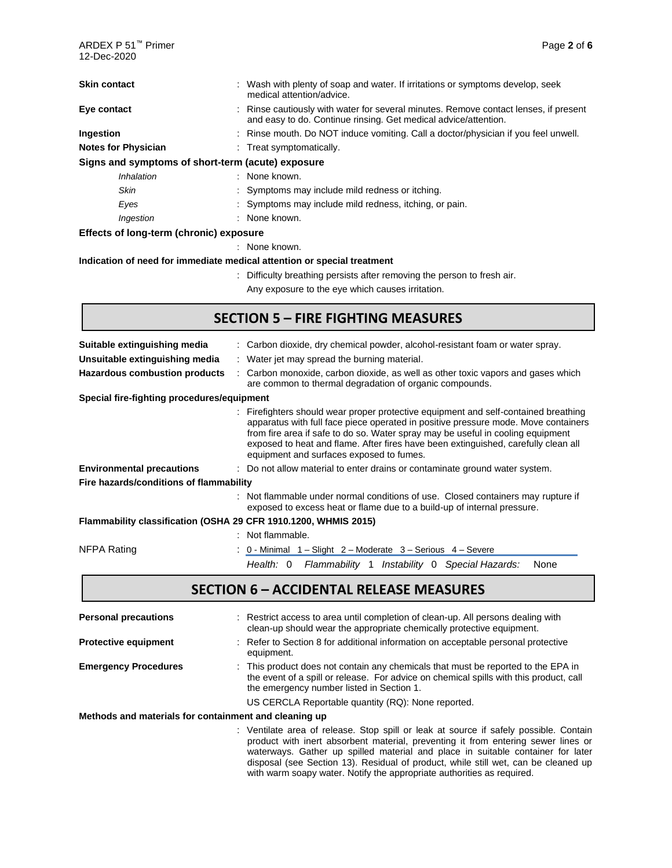| ARDEX P 51™ Primer<br>12-Dec-2020                                       | Page 2 of 6                                                                                                                                                                                                                                                                                                                                                                                  |
|-------------------------------------------------------------------------|----------------------------------------------------------------------------------------------------------------------------------------------------------------------------------------------------------------------------------------------------------------------------------------------------------------------------------------------------------------------------------------------|
| <b>Skin contact</b>                                                     | : Wash with plenty of soap and water. If irritations or symptoms develop, seek<br>medical attention/advice.                                                                                                                                                                                                                                                                                  |
| Eye contact                                                             | Rinse cautiously with water for several minutes. Remove contact lenses, if present<br>and easy to do. Continue rinsing. Get medical advice/attention.                                                                                                                                                                                                                                        |
| Ingestion                                                               | Rinse mouth. Do NOT induce vomiting. Call a doctor/physician if you feel unwell.                                                                                                                                                                                                                                                                                                             |
| <b>Notes for Physician</b>                                              | Treat symptomatically.                                                                                                                                                                                                                                                                                                                                                                       |
| Signs and symptoms of short-term (acute) exposure                       |                                                                                                                                                                                                                                                                                                                                                                                              |
| Inhalation                                                              | : None known.                                                                                                                                                                                                                                                                                                                                                                                |
| <b>Skin</b>                                                             | Symptoms may include mild redness or itching.                                                                                                                                                                                                                                                                                                                                                |
| Eyes                                                                    | Symptoms may include mild redness, itching, or pain.                                                                                                                                                                                                                                                                                                                                         |
| Ingestion                                                               | None known.                                                                                                                                                                                                                                                                                                                                                                                  |
| Effects of long-term (chronic) exposure                                 |                                                                                                                                                                                                                                                                                                                                                                                              |
|                                                                         | : None known.                                                                                                                                                                                                                                                                                                                                                                                |
| Indication of need for immediate medical attention or special treatment |                                                                                                                                                                                                                                                                                                                                                                                              |
|                                                                         | Difficulty breathing persists after removing the person to fresh air.                                                                                                                                                                                                                                                                                                                        |
|                                                                         | Any exposure to the eye which causes irritation.                                                                                                                                                                                                                                                                                                                                             |
|                                                                         | <b>SECTION 5 - FIRE FIGHTING MEASURES</b>                                                                                                                                                                                                                                                                                                                                                    |
| Suitable extinguishing media                                            | : Carbon dioxide, dry chemical powder, alcohol-resistant foam or water spray.                                                                                                                                                                                                                                                                                                                |
| Unsuitable extinguishing media                                          | Water jet may spread the burning material.                                                                                                                                                                                                                                                                                                                                                   |
| <b>Hazardous combustion products</b>                                    | Carbon monoxide, carbon dioxide, as well as other toxic vapors and gases which<br>are common to thermal degradation of organic compounds.                                                                                                                                                                                                                                                    |
| Special fire-fighting procedures/equipment                              |                                                                                                                                                                                                                                                                                                                                                                                              |
|                                                                         | Firefighters should wear proper protective equipment and self-contained breathing<br>apparatus with full face piece operated in positive pressure mode. Move containers<br>from fire area if safe to do so. Water spray may be useful in cooling equipment<br>exposed to heat and flame. After fires have been extinguished, carefully clean all<br>equipment and surfaces exposed to fumes. |
| <b>Environmental precautions</b>                                        | : Do not allow material to enter drains or contaminate ground water system.                                                                                                                                                                                                                                                                                                                  |
| Fire hazards/conditions of flammability                                 |                                                                                                                                                                                                                                                                                                                                                                                              |
|                                                                         | : Not flammable under normal conditions of use. Closed containers may rupture if                                                                                                                                                                                                                                                                                                             |

exposed to excess heat or flame due to a build-up of internal pressure.

disposal (see Section 13). Residual of product, while still wet, can be cleaned up

with warm soapy water. Notify the appropriate authorities as required.

#### **Flammability classification (OSHA 29 CFR 1910.1200, WHMIS 2015)**

|             | : Not flammable. |                                                                         |                                                              |  |
|-------------|------------------|-------------------------------------------------------------------------|--------------------------------------------------------------|--|
| NFPA Rating |                  | $\therefore$ 0 - Minimal 1 – Slight 2 – Moderate 3 – Serious 4 – Severe |                                                              |  |
|             |                  |                                                                         | Health: 0 Flammability 1 Instability 0 Special Hazards: None |  |

# **SECTION 6 – ACCIDENTAL RELEASE MEASURES**

| <b>Personal precautions</b>                           | : Restrict access to area until completion of clean-up. All persons dealing with<br>clean-up should wear the appropriate chemically protective equipment.                                                                                                     |
|-------------------------------------------------------|---------------------------------------------------------------------------------------------------------------------------------------------------------------------------------------------------------------------------------------------------------------|
| <b>Protective equipment</b>                           | : Refer to Section 8 for additional information on acceptable personal protective<br>equipment.                                                                                                                                                               |
| <b>Emergency Procedures</b>                           | : This product does not contain any chemicals that must be reported to the EPA in<br>the event of a spill or release. For advice on chemical spills with this product, call<br>the emergency number listed in Section 1.                                      |
|                                                       | US CERCLA Reportable quantity (RQ): None reported.                                                                                                                                                                                                            |
| Methods and materials for containment and cleaning up |                                                                                                                                                                                                                                                               |
|                                                       | : Ventilate area of release. Stop spill or leak at source if safely possible. Contain<br>product with inert absorbent material, preventing it from entering sewer lines or<br>waterways. Gather up spilled material and place in suitable container for later |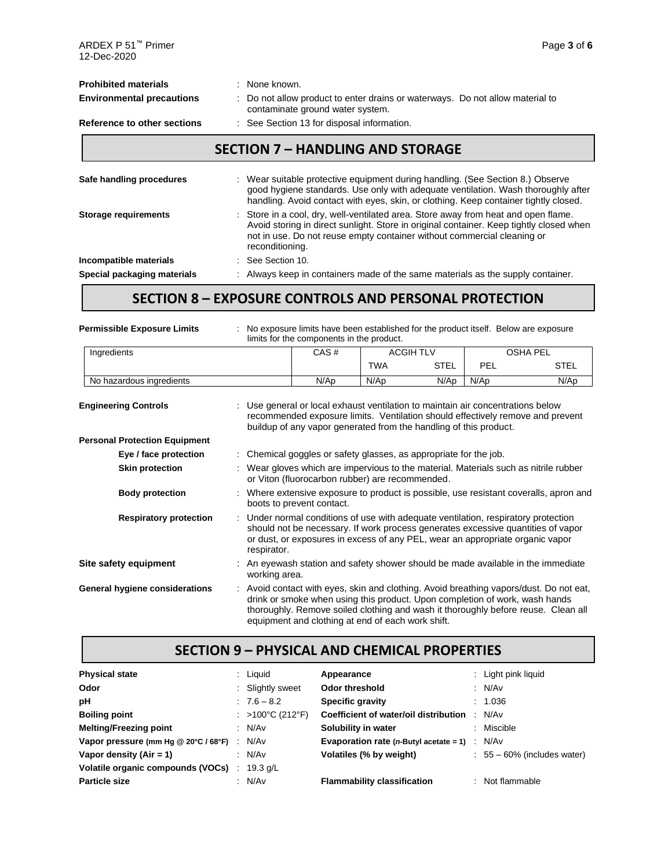| <b>Prohibited materials</b><br><b>Environmental precautions</b> | : None known.<br>Do not allow product to enter drains or waterways. Do not allow material to<br>contaminate ground water system.                                                                                                                                            |
|-----------------------------------------------------------------|-----------------------------------------------------------------------------------------------------------------------------------------------------------------------------------------------------------------------------------------------------------------------------|
| Reference to other sections                                     | : See Section 13 for disposal information.                                                                                                                                                                                                                                  |
|                                                                 | <b>SECTION 7 - HANDLING AND STORAGE</b>                                                                                                                                                                                                                                     |
| Safe handling procedures                                        | : Wear suitable protective equipment during handling. (See Section 8.) Observe<br>good hygiene standards. Use only with adequate ventilation. Wash thoroughly after<br>handling. Avoid contact with eyes, skin, or clothing. Keep container tightly closed.                 |
| <b>Storage requirements</b>                                     | : Store in a cool, dry, well-ventilated area. Store away from heat and open flame.<br>Avoid storing in direct sunlight. Store in original container. Keep tightly closed when<br>not in use. Do not reuse empty container without commercial cleaning or<br>reconditioning. |
| Incompatible materials                                          | : See Section 10.                                                                                                                                                                                                                                                           |
| Special packaging materials                                     | Always keep in containers made of the same materials as the supply container.                                                                                                                                                                                               |

## **SECTION 8 – EXPOSURE CONTROLS AND PERSONAL PROTECTION**

| <b>Permissible Exposure Limits</b>   | No exposure limits have been established for the product itself. Below are exposure<br>limits for the components in the product.                                                                                                                                                                                |      |            |                  |            |                 |
|--------------------------------------|-----------------------------------------------------------------------------------------------------------------------------------------------------------------------------------------------------------------------------------------------------------------------------------------------------------------|------|------------|------------------|------------|-----------------|
| Ingredients                          |                                                                                                                                                                                                                                                                                                                 | CAS# |            | <b>ACGIH TLV</b> |            | <b>OSHA PEL</b> |
|                                      |                                                                                                                                                                                                                                                                                                                 |      | <b>TWA</b> | <b>STEL</b>      | <b>PEL</b> | <b>STEL</b>     |
| No hazardous ingredients             |                                                                                                                                                                                                                                                                                                                 | N/Ap | N/Ap       | N/Ap             | N/Ap       | N/Ap            |
| <b>Engineering Controls</b>          | Use general or local exhaust ventilation to maintain air concentrations below<br>recommended exposure limits. Ventilation should effectively remove and prevent<br>buildup of any vapor generated from the handling of this product.                                                                            |      |            |                  |            |                 |
| <b>Personal Protection Equipment</b> |                                                                                                                                                                                                                                                                                                                 |      |            |                  |            |                 |
| Eye / face protection                | Chemical goggles or safety glasses, as appropriate for the job.                                                                                                                                                                                                                                                 |      |            |                  |            |                 |
| <b>Skin protection</b>               | : Wear gloves which are impervious to the material. Materials such as nitrile rubber<br>or Viton (fluorocarbon rubber) are recommended.                                                                                                                                                                         |      |            |                  |            |                 |
| <b>Body protection</b>               | Where extensive exposure to product is possible, use resistant coveralls, apron and<br>boots to prevent contact.                                                                                                                                                                                                |      |            |                  |            |                 |
| <b>Respiratory protection</b>        | Under normal conditions of use with adequate ventilation, respiratory protection<br>should not be necessary. If work process generates excessive quantities of vapor<br>or dust, or exposures in excess of any PEL, wear an appropriate organic vapor<br>respirator.                                            |      |            |                  |            |                 |
| Site safety equipment                | : An eyewash station and safety shower should be made available in the immediate<br>working area.                                                                                                                                                                                                               |      |            |                  |            |                 |
| General hygiene considerations       | : Avoid contact with eyes, skin and clothing. Avoid breathing vapors/dust. Do not eat,<br>drink or smoke when using this product. Upon completion of work, wash hands<br>thoroughly. Remove soiled clothing and wash it thoroughly before reuse. Clean all<br>equipment and clothing at end of each work shift. |      |            |                  |            |                 |

### **SECTION 9 – PHYSICAL AND CHEMICAL PROPERTIES**

| <b>Physical state</b>                |   | $:$ Liquid       | Appearance                                                      | : Light pink liquid            |
|--------------------------------------|---|------------------|-----------------------------------------------------------------|--------------------------------|
| Odor                                 |   | : Slightly sweet | Odor threshold                                                  | : N/Av                         |
| рH                                   |   | $: 7.6 - 8.2$    | <b>Specific gravity</b>                                         | : 1.036                        |
| <b>Boiling point</b>                 |   | : >100°C (212°F) | Coefficient of water/oil distribution                           | N/Av                           |
| <b>Melting/Freezing point</b>        |   | : N/Av           | Solubility in water                                             | : Miscible                     |
| Vapor pressure (mm Hg @ 20°C / 68°F) | ÷ | N/Av             | <b>Evaporation rate (n-Butyl acetate = 1)</b> $\therefore$ N/Av |                                |
| Vapor density $(Air = 1)$            |   | : N/Av           | Volatiles (% by weight)                                         | $: 55 - 60\%$ (includes water) |
| Volatile organic compounds (VOCs)    |   | 19.3 $q/L$       |                                                                 |                                |
| Particle size                        |   | N/Av             | <b>Flammability classification</b>                              | : Not flammable                |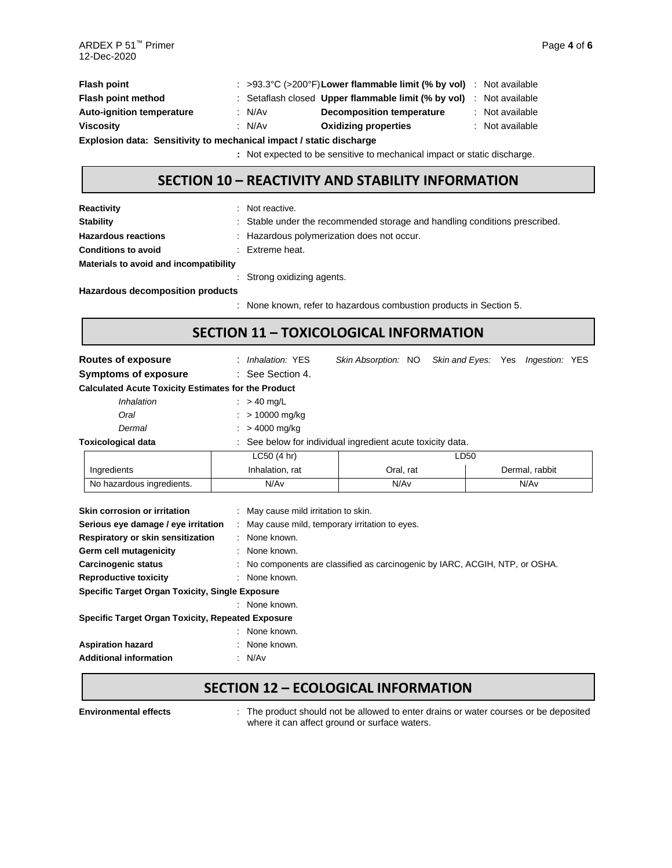| <b>Flash point</b>                                                  |  |          | : >93.3°C (>200°F) Lower flammable limit (% by vol) : Not available |  |                 |  |
|---------------------------------------------------------------------|--|----------|---------------------------------------------------------------------|--|-----------------|--|
| Flash point method                                                  |  |          | : Setaflash closed Upper flammable limit (% by vol) : Not available |  |                 |  |
| <b>Auto-ignition temperature</b>                                    |  | : N/Av   | Decomposition temperature                                           |  | : Not available |  |
| <b>Viscosity</b>                                                    |  | : $N/Av$ | <b>Oxidizing properties</b>                                         |  | : Not available |  |
| Explosion data: Sensitivity to mechanical impact / static discharge |  |          |                                                                     |  |                 |  |
|                                                                     |  |          |                                                                     |  |                 |  |

**:** Not expected to be sensitive to mechanical impact or static discharge.

### **SECTION 10 – REACTIVITY AND STABILITY INFORMATION**

| <b>Reactivity</b>                      | : Not reactive.                                                                                                                                                                                                              |
|----------------------------------------|------------------------------------------------------------------------------------------------------------------------------------------------------------------------------------------------------------------------------|
| <b>Stability</b>                       | : Stable under the recommended storage and handling conditions prescribed.                                                                                                                                                   |
| <b>Hazardous reactions</b>             | : Hazardous polymerization does not occur.                                                                                                                                                                                   |
| <b>Conditions to avoid</b>             | $\therefore$ Extreme heat.                                                                                                                                                                                                   |
| Materials to avoid and incompatibility |                                                                                                                                                                                                                              |
|                                        | : Strong oxidizing agents.                                                                                                                                                                                                   |
| Hazardous decomposition products       |                                                                                                                                                                                                                              |
|                                        | the March of the Constantinent and the Constantinent of the Constantinent of the Constantinent of the Constantinent of the Constantinent of the Constantinent of the Constantinent of the Constantinent of the Constantinent |

: None known, refer to hazardous combustion products in Section 5.

## **SECTION 11 – TOXICOLOGICAL INFORMATION**

| Routes of exposure                                                                                                                                                                               | : Inhalation: YES                                                                                                                                                                                                          | Skin Absorption: NO Skin and Eyes: Yes Ingestion: YES |  |      |                |  |  |  |  |
|--------------------------------------------------------------------------------------------------------------------------------------------------------------------------------------------------|----------------------------------------------------------------------------------------------------------------------------------------------------------------------------------------------------------------------------|-------------------------------------------------------|--|------|----------------|--|--|--|--|
| <b>Symptoms of exposure</b>                                                                                                                                                                      | : See Section 4.                                                                                                                                                                                                           |                                                       |  |      |                |  |  |  |  |
| <b>Calculated Acute Toxicity Estimates for the Product</b>                                                                                                                                       |                                                                                                                                                                                                                            |                                                       |  |      |                |  |  |  |  |
| <i>Inhalation</i>                                                                                                                                                                                | $\therefore$ > 40 mg/L                                                                                                                                                                                                     |                                                       |  |      |                |  |  |  |  |
| Oral                                                                                                                                                                                             | > 10000 mg/kg                                                                                                                                                                                                              |                                                       |  |      |                |  |  |  |  |
| Dermal                                                                                                                                                                                           | > 4000 mg/kg                                                                                                                                                                                                               |                                                       |  |      |                |  |  |  |  |
| <b>Toxicological data</b>                                                                                                                                                                        | See below for individual ingredient acute toxicity data.                                                                                                                                                                   |                                                       |  |      |                |  |  |  |  |
|                                                                                                                                                                                                  | LC50(4 hr)                                                                                                                                                                                                                 |                                                       |  | LD50 |                |  |  |  |  |
| Ingredients                                                                                                                                                                                      | Inhalation, rat                                                                                                                                                                                                            | Oral, rat                                             |  |      | Dermal, rabbit |  |  |  |  |
| No hazardous ingredients.                                                                                                                                                                        | N/Av                                                                                                                                                                                                                       | N/Av                                                  |  |      | N/Av           |  |  |  |  |
| Skin corrosion or irritation<br>Serious eye damage / eye irritation<br>Respiratory or skin sensitization<br>Germ cell mutagenicity<br><b>Carcinogenic status</b><br><b>Reproductive toxicity</b> | : May cause mild irritation to skin.<br>: May cause mild, temporary irritation to eyes.<br>: None known.<br>: None known.<br>: No components are classified as carcinogenic by IARC, ACGIH, NTP, or OSHA.<br>: None known. |                                                       |  |      |                |  |  |  |  |
| <b>Specific Target Organ Toxicity, Single Exposure</b>                                                                                                                                           |                                                                                                                                                                                                                            |                                                       |  |      |                |  |  |  |  |
|                                                                                                                                                                                                  | : None known.                                                                                                                                                                                                              |                                                       |  |      |                |  |  |  |  |
| <b>Specific Target Organ Toxicity, Repeated Exposure</b>                                                                                                                                         |                                                                                                                                                                                                                            |                                                       |  |      |                |  |  |  |  |
|                                                                                                                                                                                                  | : None known.                                                                                                                                                                                                              |                                                       |  |      |                |  |  |  |  |
| <b>Aspiration hazard</b>                                                                                                                                                                         | None known.                                                                                                                                                                                                                |                                                       |  |      |                |  |  |  |  |
| <b>Additional information</b>                                                                                                                                                                    | : N/Av                                                                                                                                                                                                                     |                                                       |  |      |                |  |  |  |  |

### **SECTION 12 – ECOLOGICAL INFORMATION**

Environmental effects : The product should not be allowed to enter drains or water courses or be deposited where it can affect ground or surface waters.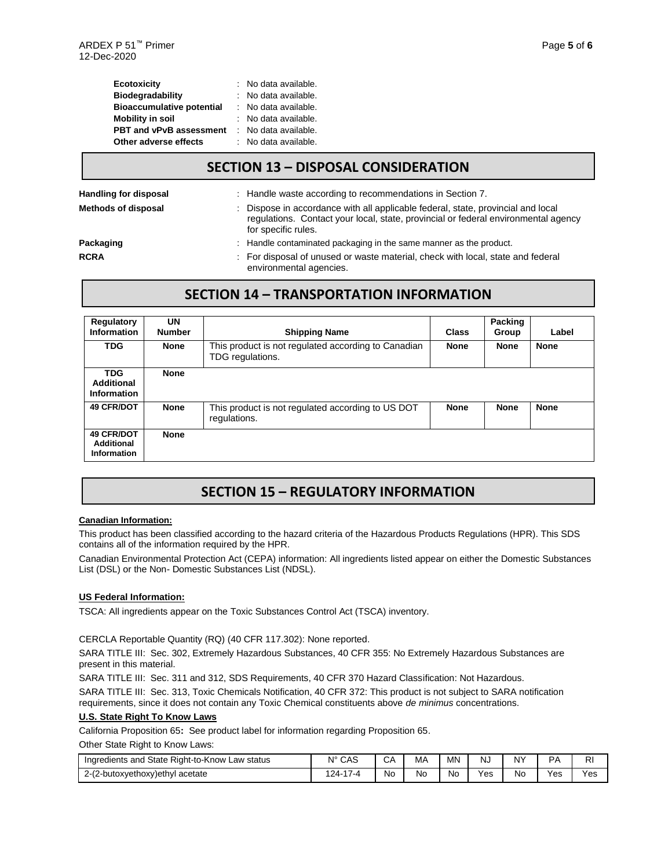| <b>Ecotoxicity</b>               | : No data available. |
|----------------------------------|----------------------|
| <b>Biodegradability</b>          | : No data available. |
| <b>Bioaccumulative potential</b> | : No data available. |
| <b>Mobility in soil</b>          | : No data available. |
| <b>PBT and vPvB assessment</b>   | : No data available. |
| Other adverse effects            | : No data available. |

#### **SECTION 13 – DISPOSAL CONSIDERATION**

| Handling for disposal      | : Handle waste according to recommendations in Section 7.                                                                                                                                     |
|----------------------------|-----------------------------------------------------------------------------------------------------------------------------------------------------------------------------------------------|
| <b>Methods of disposal</b> | : Dispose in accordance with all applicable federal, state, provincial and local<br>regulations. Contact your local, state, provincial or federal environmental agency<br>for specific rules. |
| Packaging                  | : Handle contaminated packaging in the same manner as the product.                                                                                                                            |
| <b>RCRA</b>                | : For disposal of unused or waste material, check with local, state and federal<br>environmental agencies.                                                                                    |

### **SECTION 14 – TRANSPORTATION INFORMATION**

| Regulatory<br><b>Information</b>               | UN<br><b>Number</b> | <b>Shipping Name</b>                                                    | Class       | <b>Packing</b><br>Group | Label       |
|------------------------------------------------|---------------------|-------------------------------------------------------------------------|-------------|-------------------------|-------------|
| <b>TDG</b>                                     | <b>None</b>         | This product is not regulated according to Canadian<br>TDG regulations. | <b>None</b> | <b>None</b>             | <b>None</b> |
| <b>TDG</b><br>Additional<br><b>Information</b> | <b>None</b>         |                                                                         |             |                         |             |
| <b>49 CFR/DOT</b>                              | <b>None</b>         | This product is not regulated according to US DOT<br>regulations.       | <b>None</b> | <b>None</b>             | <b>None</b> |
| <b>49 CFR/DOT</b><br>Additional<br>Information | <b>None</b>         |                                                                         |             |                         |             |

# **SECTION 15 – REGULATORY INFORMATION**

#### **Canadian Information:**

This product has been classified according to the hazard criteria of the Hazardous Products Regulations (HPR). This SDS contains all of the information required by the HPR.

Canadian Environmental Protection Act (CEPA) information: All ingredients listed appear on either the Domestic Substances List (DSL) or the Non- Domestic Substances List (NDSL).

#### **US Federal Information:**

TSCA: All ingredients appear on the Toxic Substances Control Act (TSCA) inventory.

CERCLA Reportable Quantity (RQ) (40 CFR 117.302): None reported.

SARA TITLE III: Sec. 302, Extremely Hazardous Substances, 40 CFR 355: No Extremely Hazardous Substances are present in this material.

SARA TITLE III: Sec. 311 and 312, SDS Requirements, 40 CFR 370 Hazard Classification: Not Hazardous.

SARA TITLE III: Sec. 313, Toxic Chemicals Notification, 40 CFR 372: This product is not subject to SARA notification requirements, since it does not contain any Toxic Chemical constituents above *de minimus* concentrations.

#### **U.S. State Right To Know Laws**

California Proposition 65**:** See product label for information regarding Proposition 65.

Other State Right to Know Laws:

| Ingredients and State<br>Right-to-Know<br>Law status | $N^{\circ}$<br>CAS             | CА | MΑ | MN  | NJ  | <b>NY</b> | DA  | RI                         |
|------------------------------------------------------|--------------------------------|----|----|-----|-----|-----------|-----|----------------------------|
| 2-(2-butoxyethoxy) ethyl acetate                     | $\rightarrow$<br>124-<br>7 - 4 | No | No | No. | Yes | No        | ∨es | $\mathsf{v}_{\mathsf{es}}$ |